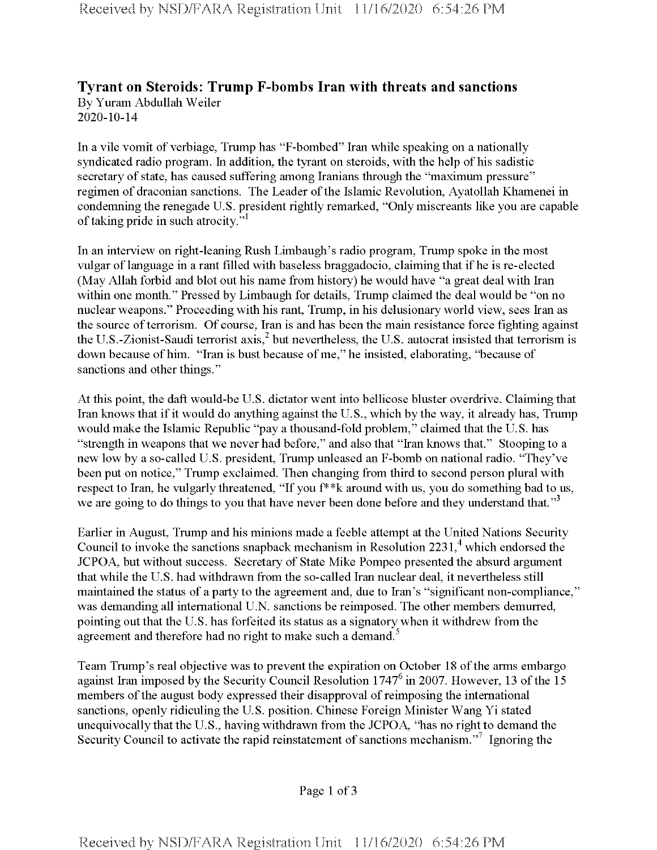## **Tyrant on Steroids: Trump F-bombs Iran with threats and sanctions** By Yuram Abdullah Weiler 2020-10-14

In a vile vomit of verbiage, Trump has "F-bombed" Iran while speaking on a nationally syndicated radio program. In addition, the tyrant on steroids, with the help of his sadistic secretary of state, has caused suffering among Iranians through the "maximum pressure" regimen of draconian sanctions. The Leader of the Islamic Revolution, Ayatollah Khamenei in condemning the renegade U.S. president rightly remarked, "Only miscreants like you are capable of taking pride in such atrocity."

In an interview on right-leaning Rush Limbaugh's radio program, Trump spoke in the most vulgar of language in a rant filled with baseless braggadocio, claiming that if he is re-elected (May Allah forbid and blot out his name from history) he would have "a great deal with Iran within one month." Pressed by Limbaugh for details, Trump claimed the deal would be "on no nuclear weapons." Proceeding with his rant, Trump, in his delusionary world view, sees Iran as the source of terrorism. Of course, Iran is and has been the main resistance force fighting against the U.S.-Zionist-Saudi terrorist axis,  $2$  but nevertheless, the U.S. autocrat insisted that terrorism is down because of him. "Iran is bust because of me," he insisted, elaborating, "because of sanctions and other things."

At this point, the daft would-be U.S. dictator went into bellicose bluster overdrive. Claiming that Iran knows that if it would do anything against the U.S., which by the way, it already has, Trump would make the Islamic Republic "pay a thousand-fold problem," claimed that the U.S. has "strength in weapons that we never had before," and also that "Iran knows that." Stooping to a new low by a so-called U.S. president, Trump unleased an F-bomb on national radio. "They've been put on notice," Trump exclaimed. Then changing from third to second person plural with respect to Iran, he vulgarly threatened, "If you f\* \*k around with us, you do something bad to us, we are going to do things to you that have never been done before and they understand that."<sup>3</sup>

Earlier in August, Trump and his minions made a feeble attempt at the United Nations Security Council to invoke the sanctions snapback mechanism in Resolution  $2231<sup>4</sup>$  which endorsed the JCPOA, but without success. Secretary of State Mike Pompeo presented the absurd argument that while the U.S. had withdrawn from the so-called Iran nuclear deal, it nevertheless still maintained the status of a party to the agreement and, due to Iran's "significant non-compliance," was demanding all international U.N. sanctions be reimposed. The other members demurred, pointing out that the U.S. has forfeited its status as a signatory when it withdrew from the agreement and therefore had no right to make such a demand.<sup>5</sup>

Team Trump's real objective was to prevent the expiration on October 18 ofthe arms embargo against Iran imposed by the Security Council Resolution 1747<sup>6</sup> in 2007. However, 13 of the 15 members of the august body expressed their disapproval of reimposing the international sanctions, openly ridiculing the U.S. position. Chinese Foreign Minister Wang Yi stated unequivocally that the U.S., having withdrawn from the JCPOA, "has no right to demand the Security Council to activate the rapid reinstatement of sanctions mechanism. $\frac{1}{2}$  Ignoring the

Page 1 of 3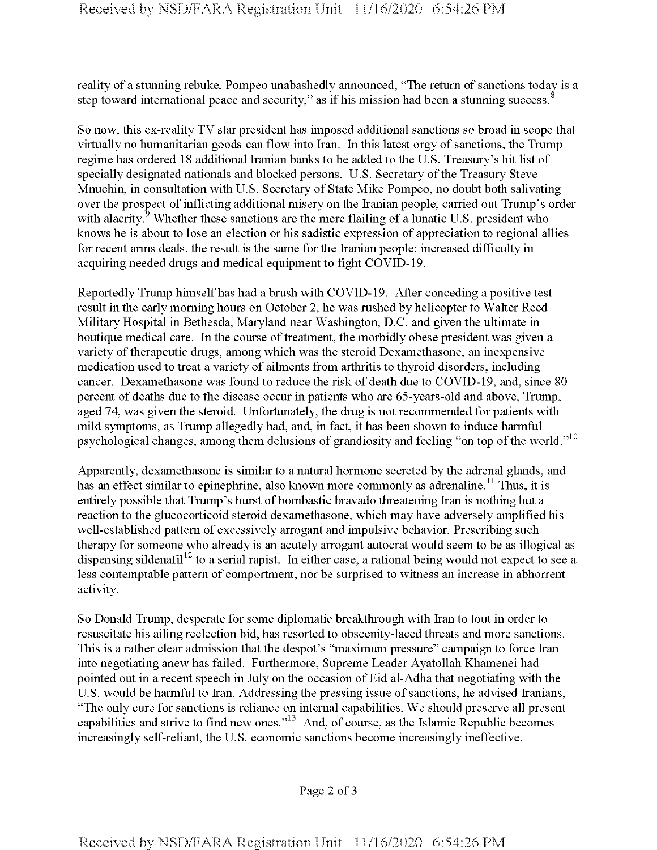reality of a stunning rebuke, Pompeo unabashedly announced, "The return of sanctions today is a step toward international peace and security," as if his mission had been a stunning success.<sup>8</sup>

So now, this ex-reality TV star president has imposed additional sanctions so broad in scope that virtually no humanitarian goods can flow into Iran. In this latest orgy of sanctions, the Trump regime has ordered 18 additional Iranian banks to be added to the U.S. Treasury's hit list of specially designated nationals and blocked persons. U.S. Secretary of the Treasury Steve Mnuchin, in consultation with U.S. Secretary of State Mike Pompeo, no doubt both salivating over the prospect of inflicting additional misery on the Iranian people, carried out Trump's order with alacrity.<sup>9</sup> Whether these sanctions are the mere flailing of a lunatic U.S. president who knows he is about to lose an election or his sadistic expression of appreciation to regional allies for recent arms deals, the result is the same for the Iranian people: increased difficulty in acquiring needed drugs and medical equipment to fight COVID-19.

Reportedly Trump himself has had a brush with COVID-19. After conceding a positive test result in the early morning hours on October 2, he was rushed by helicopterto Walter Reed Military Hospital in Bethesda, Maryland near Washington, D.C. and given the ultimate in boutique medical care. In the course of treatment, the morbidly obese president was given a variety of therapeutic drugs, among which was the steroid Dexamethasone, an inexpensive medication used to treat a variety of ailments from arthritis to thyroid disorders, including cancer. Dexamethasone was found to reduce the risk of death due to COVID-19, and, since 80 percent of deaths due to the disease occur in patients who are 65-years-old and above, Trump, aged 74, was given the steroid. Unfortunately, the drug is not recommended for patients with mild symptoms, as Trump allegedly had, and, in fact, it has been shown to induce harmful psychological changes, among them delusions of grandiosity and feeling "on top of the world."<sup>10</sup>

Apparently, dexamethasone is similar to a natural hormone secreted by the adrenal glands, and has an effect similar to epinephrine, also known more commonly as adrenaline.<sup>11</sup> Thus, it is entirely possible that Trump's burst of bombastic bravado threatening Iran is nothing but a reaction to the glucocorticoid steroid dexamethasone, which may have adversely amplified his well-established pattern of excessively arrogant and impulsive behavior. Prescribing such therapy for someone who already is an acutely arrogant autocrat would seem to be as illogical as dispensing sildenafil<sup>12</sup> to a serial rapist. In either case, a rational being would not expect to see a less contemptable pattern of comportment, nor be surprised to witness an increase in abhorrent activity.

So Donald Trump, desperate for some diplomatic breakthrough with Iran to tout in order to resuscitate his ailing reelection bid, has resorted to obscenity-laced threats and more sanctions. This is a rather clear admission that the despot's "maximum pressure" campaign to force Iran into negotiating anew has failed. Furthermore, Supreme Leader Ayatollah Khamenei had pointed out in a recent speech in July on the occasion of Eid al-Adha that negotiating with the U.S. would be harmful to Iran. Addressing the pressing issue of sanctions, he advised Iranians, "The only cure for sanctions is reliance on internal capabilities. We should preserve all present capabilities and strive to find new ones."13 And, of course, as the Islamic Republic becomes increasingly self-reliant, the U.S. economic sanctions become increasingly ineffective.

Page 2 of <sup>3</sup>